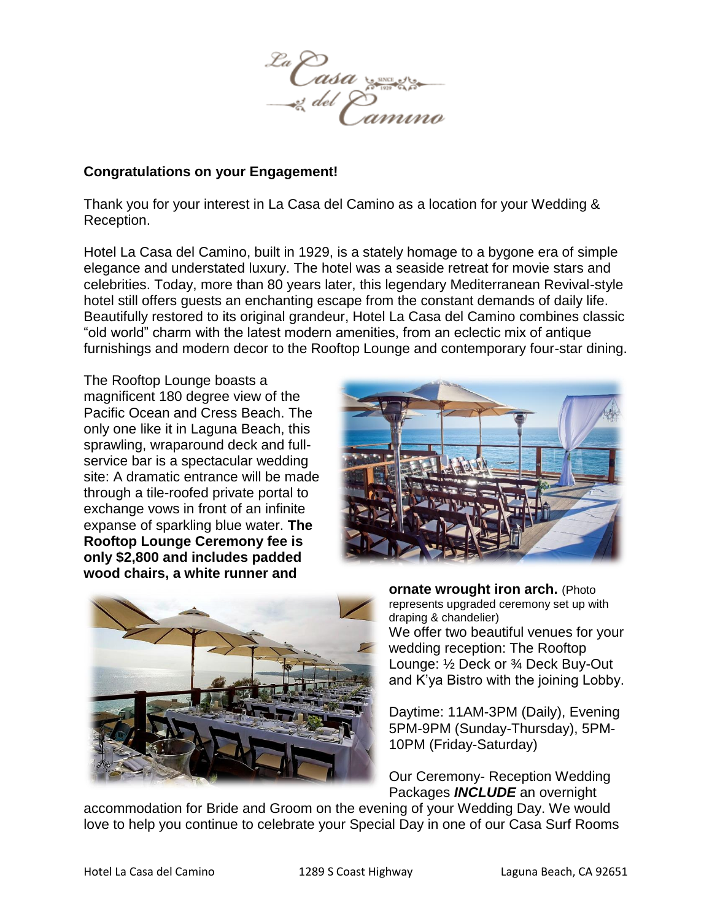

#### **Congratulations on your Engagement!**

Thank you for your interest in La Casa del Camino as a location for your Wedding & Reception.

Hotel La Casa del Camino, built in 1929, is a stately homage to a bygone era of simple elegance and understated luxury. The hotel was a seaside retreat for movie stars and celebrities. Today, more than 80 years later, this legendary Mediterranean Revival-style hotel still offers guests an enchanting escape from the constant demands of daily life. Beautifully restored to its original grandeur, Hotel La Casa del Camino combines classic "old world" charm with the latest modern amenities, from an eclectic mix of antique furnishings and modern decor to the Rooftop Lounge and contemporary four-star dining.

The Rooftop Lounge boasts a magnificent 180 degree view of the Pacific Ocean and Cress Beach. The only one like it in Laguna Beach, this sprawling, wraparound deck and fullservice bar is a spectacular wedding site: A dramatic entrance will be made through a tile-roofed private portal to exchange vows in front of an infinite expanse of sparkling blue water. **The Rooftop Lounge Ceremony fee is only \$2,800 and includes padded wood chairs, a white runner and** 





**ornate wrought iron arch.** (Photo represents upgraded ceremony set up with draping & chandelier) We offer two beautiful venues for your wedding reception: The Rooftop Lounge: ½ Deck or ¾ Deck Buy-Out and K'ya Bistro with the joining Lobby.

Daytime: 11AM-3PM (Daily), Evening 5PM-9PM (Sunday-Thursday), 5PM-10PM (Friday-Saturday)

Our Ceremony- Reception Wedding Packages *INCLUDE* an overnight

accommodation for Bride and Groom on the evening of your Wedding Day. We would love to help you continue to celebrate your Special Day in one of our Casa Surf Rooms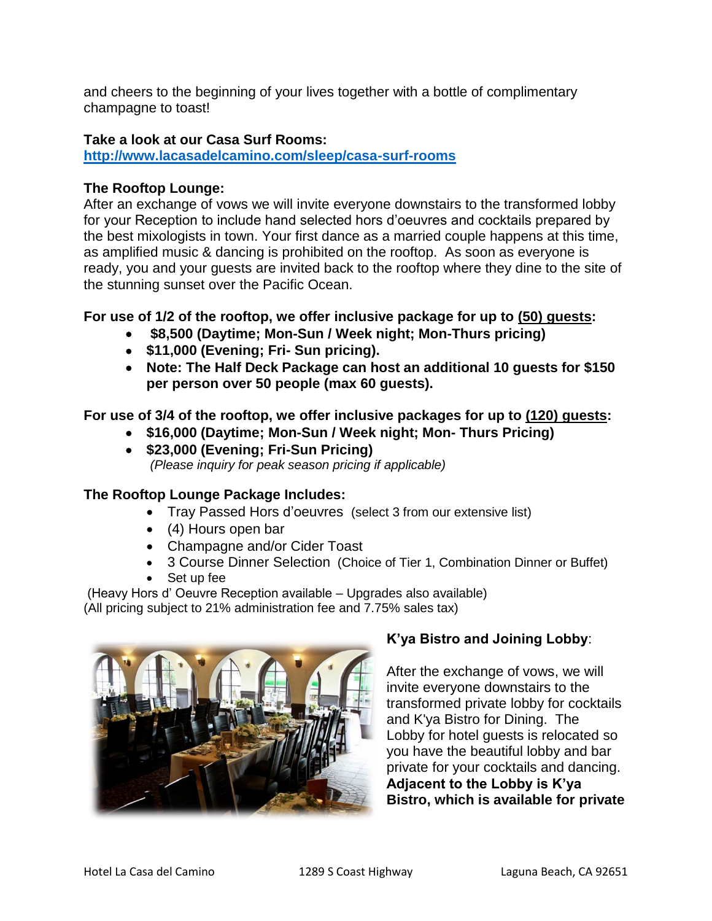and cheers to the beginning of your lives together with a bottle of complimentary champagne to toast!

## **Take a look at our Casa Surf Rooms:**

**<http://www.lacasadelcamino.com/sleep/casa-surf-rooms>**

## **The Rooftop Lounge:**

After an exchange of vows we will invite everyone downstairs to the transformed lobby for your Reception to include hand selected hors d'oeuvres and cocktails prepared by the best mixologists in town. Your first dance as a married couple happens at this time, as amplified music & dancing is prohibited on the rooftop. As soon as everyone is ready, you and your guests are invited back to the rooftop where they dine to the site of the stunning sunset over the Pacific Ocean.

**For use of 1/2 of the rooftop, we offer inclusive package for up to (50) guests:**

- **\$8,500 (Daytime; Mon-Sun / Week night; Mon-Thurs pricing)**
- **\$11,000 (Evening; Fri- Sun pricing).**
- **Note: The Half Deck Package can host an additional 10 guests for \$150 per person over 50 people (max 60 guests).**

**For use of 3/4 of the rooftop, we offer inclusive packages for up to (120) guests:**

- **\$16,000 (Daytime; Mon-Sun / Week night; Mon- Thurs Pricing)**
- **\$23,000 (Evening; Fri-Sun Pricing)** *(Please inquiry for peak season pricing if applicable)*

## **The Rooftop Lounge Package Includes:**

- Tray Passed Hors d'oeuvres (select 3 from our extensive list)
- (4) Hours open bar
- Champagne and/or Cider Toast
- 3 Course Dinner Selection (Choice of Tier 1, Combination Dinner or Buffet)
- Set up fee

(Heavy Hors d' Oeuvre Reception available – Upgrades also available) (All pricing subject to 21% administration fee and 7.75% sales tax)



# **K'ya Bistro and Joining Lobby**:

After the exchange of vows, we will invite everyone downstairs to the transformed private lobby for cocktails and K'ya Bistro for Dining. The Lobby for hotel guests is relocated so you have the beautiful lobby and bar private for your cocktails and dancing. **Adjacent to the Lobby is K'ya Bistro, which is available for private**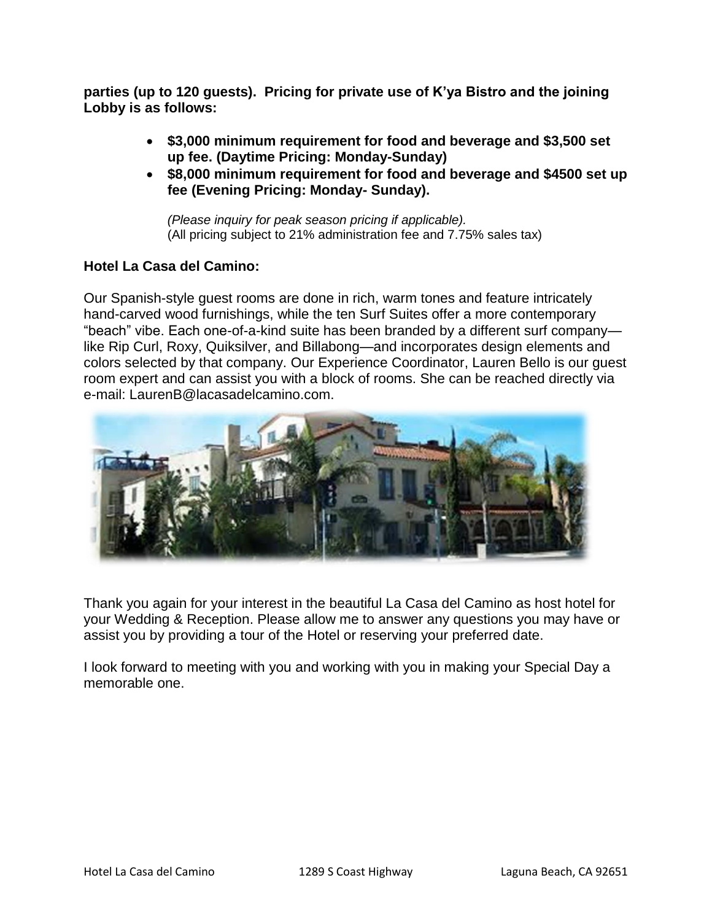**parties (up to 120 guests). Pricing for private use of K'ya Bistro and the joining Lobby is as follows:**

- **\$3,000 minimum requirement for food and beverage and \$3,500 set up fee. (Daytime Pricing: Monday-Sunday)**
- **\$8,000 minimum requirement for food and beverage and \$4500 set up fee (Evening Pricing: Monday- Sunday).**

*(Please inquiry for peak season pricing if applicable).* (All pricing subject to 21% administration fee and 7.75% sales tax)

## **Hotel La Casa del Camino:**

Our Spanish-style guest rooms are done in rich, warm tones and feature intricately hand-carved wood furnishings, while the ten Surf Suites offer a more contemporary "beach" vibe. Each one-of-a-kind suite has been branded by a different surf company like Rip Curl, Roxy, Quiksilver, and Billabong—and incorporates design elements and colors selected by that company. Our Experience Coordinator, Lauren Bello is our guest room expert and can assist you with a block of rooms. She can be reached directly via e-mail: LaurenB@lacasadelcamino.com.



Thank you again for your interest in the beautiful La Casa del Camino as host hotel for your Wedding & Reception. Please allow me to answer any questions you may have or assist you by providing a tour of the Hotel or reserving your preferred date.

I look forward to meeting with you and working with you in making your Special Day a memorable one.